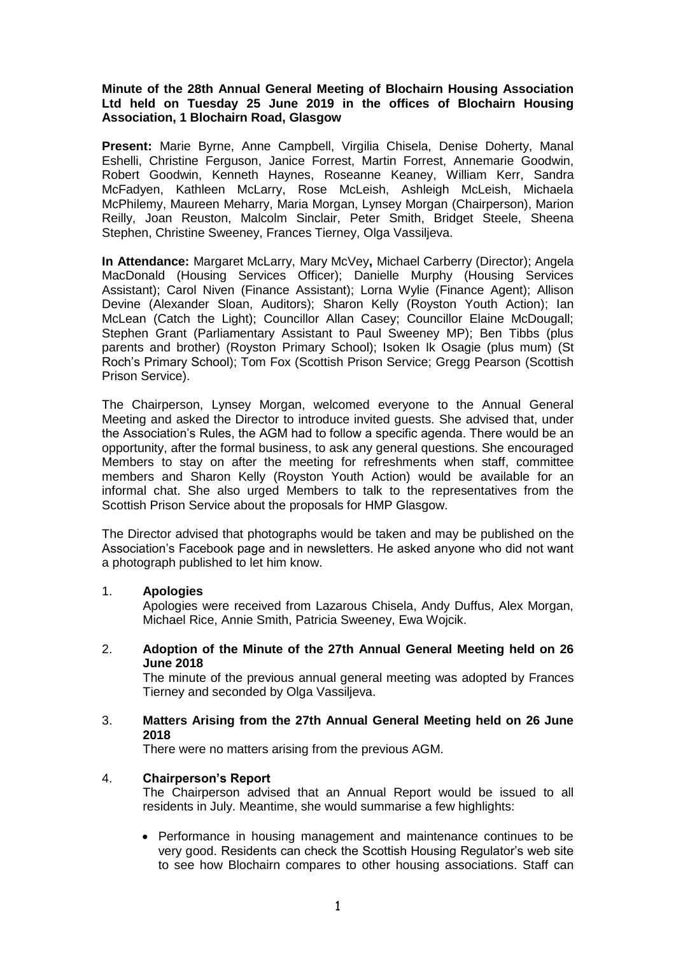# **Minute of the 28th Annual General Meeting of Blochairn Housing Association Ltd held on Tuesday 25 June 2019 in the offices of Blochairn Housing Association, 1 Blochairn Road, Glasgow**

**Present:** Marie Byrne, Anne Campbell, Virgilia Chisela, Denise Doherty, Manal Eshelli, Christine Ferguson, Janice Forrest, Martin Forrest, Annemarie Goodwin, Robert Goodwin, Kenneth Haynes, Roseanne Keaney, William Kerr, Sandra McFadyen, Kathleen McLarry, Rose McLeish, Ashleigh McLeish, Michaela McPhilemy, Maureen Meharry, Maria Morgan, Lynsey Morgan (Chairperson), Marion Reilly, Joan Reuston, Malcolm Sinclair, Peter Smith, Bridget Steele, Sheena Stephen, Christine Sweeney, Frances Tierney, Olga Vassiljeva.

**In Attendance:** Margaret McLarry, Mary McVey**,** Michael Carberry (Director); Angela MacDonald (Housing Services Officer); Danielle Murphy (Housing Services Assistant); Carol Niven (Finance Assistant); Lorna Wylie (Finance Agent); Allison Devine (Alexander Sloan, Auditors); Sharon Kelly (Royston Youth Action); Ian McLean (Catch the Light); Councillor Allan Casey; Councillor Elaine McDougall; Stephen Grant (Parliamentary Assistant to Paul Sweeney MP); Ben Tibbs (plus parents and brother) (Royston Primary School); Isoken Ik Osagie (plus mum) (St Roch's Primary School); Tom Fox (Scottish Prison Service; Gregg Pearson (Scottish Prison Service).

The Chairperson, Lynsey Morgan, welcomed everyone to the Annual General Meeting and asked the Director to introduce invited guests. She advised that, under the Association's Rules, the AGM had to follow a specific agenda. There would be an opportunity, after the formal business, to ask any general questions. She encouraged Members to stay on after the meeting for refreshments when staff, committee members and Sharon Kelly (Royston Youth Action) would be available for an informal chat. She also urged Members to talk to the representatives from the Scottish Prison Service about the proposals for HMP Glasgow.

The Director advised that photographs would be taken and may be published on the Association's Facebook page and in newsletters. He asked anyone who did not want a photograph published to let him know.

### 1. **Apologies**

Apologies were received from Lazarous Chisela, Andy Duffus, Alex Morgan, Michael Rice, Annie Smith, Patricia Sweeney, Ewa Wojcik.

2. **Adoption of the Minute of the 27th Annual General Meeting held on 26 June 2018**

The minute of the previous annual general meeting was adopted by Frances Tierney and seconded by Olga Vassiljeva.

3. **Matters Arising from the 27th Annual General Meeting held on 26 June 2018**

There were no matters arising from the previous AGM.

### 4. **Chairperson's Report**

The Chairperson advised that an Annual Report would be issued to all residents in July. Meantime, she would summarise a few highlights:

• Performance in housing management and maintenance continues to be very good. Residents can check the Scottish Housing Regulator's web site to see how Blochairn compares to other housing associations. Staff can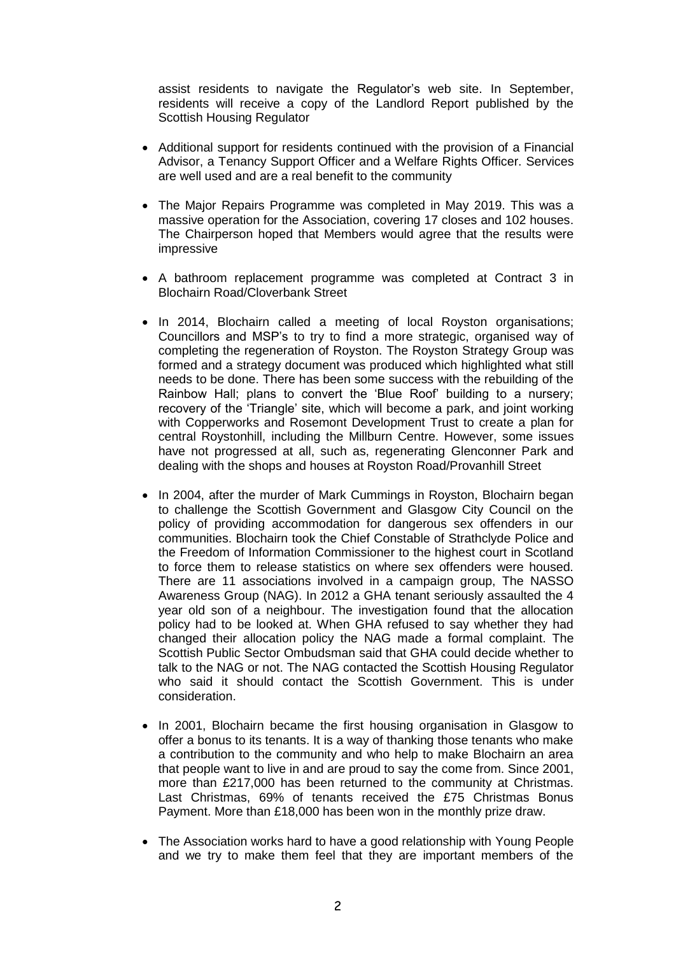assist residents to navigate the Regulator's web site. In September, residents will receive a copy of the Landlord Report published by the Scottish Housing Regulator

- Additional support for residents continued with the provision of a Financial Advisor, a Tenancy Support Officer and a Welfare Rights Officer. Services are well used and are a real benefit to the community
- The Major Repairs Programme was completed in May 2019. This was a massive operation for the Association, covering 17 closes and 102 houses. The Chairperson hoped that Members would agree that the results were impressive
- A bathroom replacement programme was completed at Contract 3 in Blochairn Road/Cloverbank Street
- In 2014, Blochairn called a meeting of local Royston organisations; Councillors and MSP's to try to find a more strategic, organised way of completing the regeneration of Royston. The Royston Strategy Group was formed and a strategy document was produced which highlighted what still needs to be done. There has been some success with the rebuilding of the Rainbow Hall; plans to convert the 'Blue Roof' building to a nursery; recovery of the 'Triangle' site, which will become a park, and joint working with Copperworks and Rosemont Development Trust to create a plan for central Roystonhill, including the Millburn Centre. However, some issues have not progressed at all, such as, regenerating Glenconner Park and dealing with the shops and houses at Royston Road/Provanhill Street
- In 2004, after the murder of Mark Cummings in Royston, Blochairn began to challenge the Scottish Government and Glasgow City Council on the policy of providing accommodation for dangerous sex offenders in our communities. Blochairn took the Chief Constable of Strathclyde Police and the Freedom of Information Commissioner to the highest court in Scotland to force them to release statistics on where sex offenders were housed. There are 11 associations involved in a campaign group, The NASSO Awareness Group (NAG). In 2012 a GHA tenant seriously assaulted the 4 year old son of a neighbour. The investigation found that the allocation policy had to be looked at. When GHA refused to say whether they had changed their allocation policy the NAG made a formal complaint. The Scottish Public Sector Ombudsman said that GHA could decide whether to talk to the NAG or not. The NAG contacted the Scottish Housing Regulator who said it should contact the Scottish Government. This is under consideration.
- In 2001, Blochairn became the first housing organisation in Glasgow to offer a bonus to its tenants. It is a way of thanking those tenants who make a contribution to the community and who help to make Blochairn an area that people want to live in and are proud to say the come from. Since 2001, more than £217,000 has been returned to the community at Christmas. Last Christmas, 69% of tenants received the £75 Christmas Bonus Payment. More than £18,000 has been won in the monthly prize draw.
- The Association works hard to have a good relationship with Young People and we try to make them feel that they are important members of the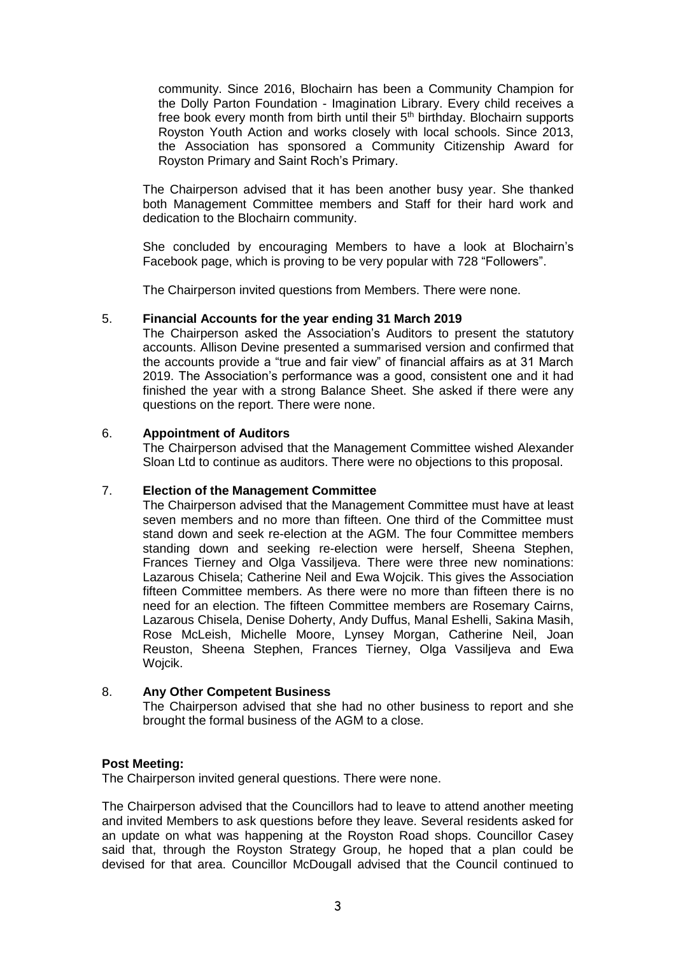community. Since 2016, Blochairn has been a Community Champion for the Dolly Parton Foundation - Imagination Library. Every child receives a free book every month from birth until their  $5<sup>th</sup>$  birthday. Blochairn supports Royston Youth Action and works closely with local schools. Since 2013, the Association has sponsored a Community Citizenship Award for Royston Primary and Saint Roch's Primary.

The Chairperson advised that it has been another busy year. She thanked both Management Committee members and Staff for their hard work and dedication to the Blochairn community.

She concluded by encouraging Members to have a look at Blochairn's Facebook page, which is proving to be very popular with 728 "Followers".

The Chairperson invited questions from Members. There were none.

# 5. **Financial Accounts for the year ending 31 March 2019**

The Chairperson asked the Association's Auditors to present the statutory accounts. Allison Devine presented a summarised version and confirmed that the accounts provide a "true and fair view" of financial affairs as at 31 March 2019. The Association's performance was a good, consistent one and it had finished the year with a strong Balance Sheet. She asked if there were any questions on the report. There were none.

# 6. **Appointment of Auditors**

The Chairperson advised that the Management Committee wished Alexander Sloan Ltd to continue as auditors. There were no objections to this proposal.

# 7. **Election of the Management Committee**

The Chairperson advised that the Management Committee must have at least seven members and no more than fifteen. One third of the Committee must stand down and seek re-election at the AGM. The four Committee members standing down and seeking re-election were herself, Sheena Stephen, Frances Tierney and Olga Vassiljeva. There were three new nominations: Lazarous Chisela; Catherine Neil and Ewa Wojcik. This gives the Association fifteen Committee members. As there were no more than fifteen there is no need for an election. The fifteen Committee members are Rosemary Cairns, Lazarous Chisela, Denise Doherty, Andy Duffus, Manal Eshelli, Sakina Masih, Rose McLeish, Michelle Moore, Lynsey Morgan, Catherine Neil, Joan Reuston, Sheena Stephen, Frances Tierney, Olga Vassiljeva and Ewa Wojcik.

### 8. **Any Other Competent Business**

The Chairperson advised that she had no other business to report and she brought the formal business of the AGM to a close.

### **Post Meeting:**

The Chairperson invited general questions. There were none.

The Chairperson advised that the Councillors had to leave to attend another meeting and invited Members to ask questions before they leave. Several residents asked for an update on what was happening at the Royston Road shops. Councillor Casey said that, through the Royston Strategy Group, he hoped that a plan could be devised for that area. Councillor McDougall advised that the Council continued to